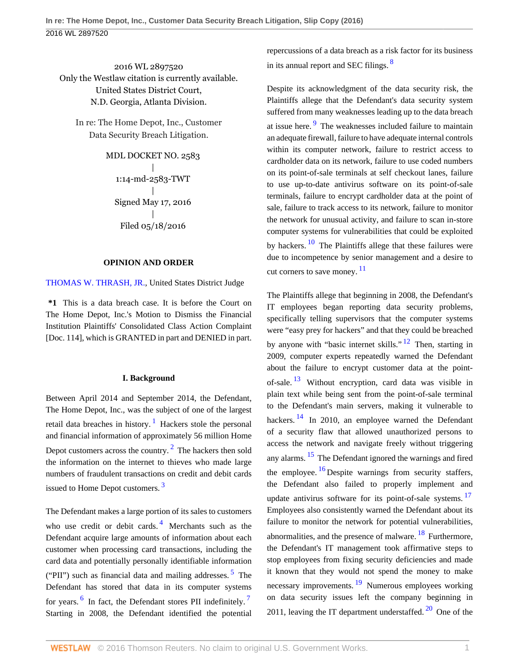2016 WL 2897520 Only the Westlaw citation is currently available. United States District Court, N.D. Georgia, Atlanta Division.

In re: The Home Depot, Inc., Customer Data Security Breach Litigation.

> MDL DOCKET NO. 2583 | 1:14-md-2583-TWT | Signed May 17, 2016 | Filed 05/18/2016

## **OPINION AND ORDER**

[THOMAS W. THRASH, JR.](http://www.westlaw.com/Link/Document/FullText?findType=h&pubNum=176284&cite=0145681801&originatingDoc=I614a90d01d9811e6accba36daa2dab8f&refType=RQ&originationContext=document&vr=3.0&rs=cblt1.0&transitionType=DocumentItem&contextData=(sc.UserEnteredCitation)), United States District Judge

**\*1** This is a data breach case. It is before the Court on The Home Depot, Inc.'s Motion to Dismiss the Financial Institution Plaintiffs' Consolidated Class Action Complaint [Doc. 114], which is GRANTED in part and DENIED in part.

### <span id="page-0-2"></span><span id="page-0-1"></span><span id="page-0-0"></span>**I. Background**

Between April 2014 and September 2014, the Defendant, The Home Depot, Inc., was the subject of one of the largest retail data breaches in history.<sup>[1](#page-5-0)</sup> Hackers stole the personal and financial information of approximately 56 million Home Depot customers across the country. $2$  The hackers then sold the information on the internet to thieves who made large numbers of fraudulent transactions on credit and debit cards issued to Home Depot customers. [3](#page-5-2)

<span id="page-0-6"></span><span id="page-0-5"></span><span id="page-0-4"></span><span id="page-0-3"></span>The Defendant makes a large portion of its sales to customers who use credit or debit cards.<sup>[4](#page-5-3)</sup> Merchants such as the Defendant acquire large amounts of information about each customer when processing card transactions, including the card data and potentially personally identifiable information ("PII") such as financial data and mailing addresses.  $5$  The Defendant has stored that data in its computer systems for years. <sup>[6](#page-5-5)</sup> In fact, the Defendant stores PII indefinitely.<sup>[7](#page-5-6)</sup> Starting in 2008, the Defendant identified the potential

<span id="page-0-7"></span>repercussions of a data breach as a risk factor for its business in its annual report and SEC filings.<sup>[8](#page-5-7)</sup>

<span id="page-0-8"></span>Despite its acknowledgment of the data security risk, the Plaintiffs allege that the Defendant's data security system suffered from many weaknesses leading up to the data breach at issue here.<sup>[9](#page-5-8)</sup> The weaknesses included failure to maintain an adequate firewall, failure to have adequate internal controls within its computer network, failure to restrict access to cardholder data on its network, failure to use coded numbers on its point-of-sale terminals at self checkout lanes, failure to use up-to-date antivirus software on its point-of-sale terminals, failure to encrypt cardholder data at the point of sale, failure to track access to its network, failure to monitor the network for unusual activity, and failure to scan in-store computer systems for vulnerabilities that could be exploited by hackers. <sup>[10](#page-5-9)</sup> The Plaintiffs allege that these failures were due to incompetence by senior management and a desire to cut corners to save money.  $\frac{11}{1}$  $\frac{11}{1}$  $\frac{11}{1}$ 

<span id="page-0-19"></span><span id="page-0-18"></span><span id="page-0-17"></span><span id="page-0-16"></span><span id="page-0-15"></span><span id="page-0-14"></span><span id="page-0-13"></span><span id="page-0-12"></span><span id="page-0-11"></span><span id="page-0-10"></span><span id="page-0-9"></span>The Plaintiffs allege that beginning in 2008, the Defendant's IT employees began reporting data security problems, specifically telling supervisors that the computer systems were "easy prey for hackers" and that they could be breached by anyone with "basic internet skills."<sup>[12](#page-5-11)</sup> Then, starting in 2009, computer experts repeatedly warned the Defendant about the failure to encrypt customer data at the pointof-sale.  $13$  Without encryption, card data was visible in plain text while being sent from the point-of-sale terminal to the Defendant's main servers, making it vulnerable to hackers.<sup>[14](#page-6-0)</sup> In 2010, an employee warned the Defendant of a security flaw that allowed unauthorized persons to access the network and navigate freely without triggering any alarms. [15](#page-6-1) The Defendant ignored the warnings and fired the employee.  $\frac{16}{16}$  $\frac{16}{16}$  $\frac{16}{16}$  Despite warnings from security staffers, the Defendant also failed to properly implement and update antivirus software for its point-of-sale systems.<sup>[17](#page-6-3)</sup> Employees also consistently warned the Defendant about its failure to monitor the network for potential vulnerabilities, abnormalities, and the presence of malware. <sup>[18](#page-6-4)</sup> Furthermore, the Defendant's IT management took affirmative steps to stop employees from fixing security deficiencies and made it known that they would not spend the money to make necessary improvements. <sup>[19](#page-6-5)</sup> Numerous employees working on data security issues left the company beginning in [20](#page-6-6)11, leaving the IT department understaffed.  $20$  One of the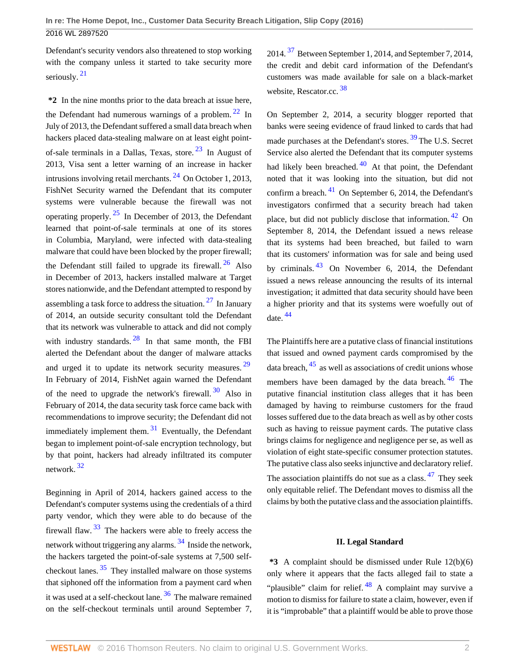<span id="page-1-0"></span>Defendant's security vendors also threatened to stop working with the company unless it started to take security more seriously.<sup>[21](#page-6-7)</sup>

<span id="page-1-4"></span>**\*2** In the nine months prior to the data breach at issue here, the Defendant had numerous warnings of a problem.  $22 \text{ In}$  $22 \text{ In}$ July of 2013, the Defendant suffered a small data breach when hackers placed data-stealing malware on at least eight pointof-sale terminals in a Dallas, Texas, store. [23](#page-6-9) In August of 2013, Visa sent a letter warning of an increase in hacker intrusions involving retail merchants.  $^{24}$  $^{24}$  $^{24}$  On October 1, 2013, FishNet Security warned the Defendant that its computer systems were vulnerable because the firewall was not operating properly.  $25$  In December of 2013, the Defendant learned that point-of-sale terminals at one of its stores in Columbia, Maryland, were infected with data-stealing malware that could have been blocked by the proper firewall; the Defendant still failed to upgrade its firewall.  $^{26}$  $^{26}$  $^{26}$  Also in December of 2013, hackers installed malware at Target stores nationwide, and the Defendant attempted to respond by assembling a task force to address the situation.  $27 \text{ In January}$  $27 \text{ In January}$ of 2014, an outside security consultant told the Defendant that its network was vulnerable to attack and did not comply with industry standards.  $28$  In that same month, the FBI alerted the Defendant about the danger of malware attacks and urged it to update its network security measures. [29](#page-6-15) In February of 2014, FishNet again warned the Defendant of the need to upgrade the network's firewall.  $30$  Also in February of 2014, the data security task force came back with recommendations to improve security; the Defendant did not immediately implement them.  $31$  Eventually, the Defendant began to implement point-of-sale encryption technology, but by that point, hackers had already infiltrated its computer network. [32](#page-6-18)

<span id="page-1-14"></span><span id="page-1-12"></span><span id="page-1-11"></span><span id="page-1-10"></span>Beginning in April of 2014, hackers gained access to the Defendant's computer systems using the credentials of a third party vendor, which they were able to do because of the firewall flaw.  $33$  The hackers were able to freely access the network without triggering any alarms.<sup>[34](#page-6-20)</sup> Inside the network, the hackers targeted the point-of-sale systems at 7,500 selfcheckout lanes.  $35$  They installed malware on those systems that siphoned off the information from a payment card when it was used at a self-checkout lane.  $36$  The malware remained on the self-checkout terminals until around September 7, <span id="page-1-16"></span>2014. [37](#page-6-23) Between September 1, 2014, and September 7, 2014, the credit and debit card information of the Defendant's customers was made available for sale on a black-market website, Rescator.cc. [38](#page-6-24)

<span id="page-1-21"></span><span id="page-1-20"></span><span id="page-1-19"></span><span id="page-1-18"></span><span id="page-1-17"></span><span id="page-1-3"></span><span id="page-1-2"></span><span id="page-1-1"></span>On September 2, 2014, a security blogger reported that banks were seeing evidence of fraud linked to cards that had made purchases at the Defendant's stores. [39](#page-6-25) The U.S. Secret Service also alerted the Defendant that its computer systems had likely been breached.  $40$  At that point, the Defendant noted that it was looking into the situation, but did not confirm a breach. [41](#page-6-27) On September 6, 2014, the Defendant's investigators confirmed that a security breach had taken place, but did not publicly disclose that information. [42](#page-6-28) On September 8, 2014, the Defendant issued a news release that its systems had been breached, but failed to warn that its customers' information was for sale and being used by criminals.  $43$  On November 6, 2014, the Defendant issued a news release announcing the results of its internal investigation; it admitted that data security should have been a higher priority and that its systems were woefully out of date. [44](#page-6-30)

<span id="page-1-25"></span><span id="page-1-24"></span><span id="page-1-23"></span><span id="page-1-22"></span><span id="page-1-9"></span><span id="page-1-8"></span><span id="page-1-7"></span><span id="page-1-6"></span><span id="page-1-5"></span>The Plaintiffs here are a putative class of financial institutions that issued and owned payment cards compromised by the data breach,  $45$  as well as associations of credit unions whose members have been damaged by the data breach. [46](#page-6-32) The putative financial institution class alleges that it has been damaged by having to reimburse customers for the fraud losses suffered due to the data breach as well as by other costs such as having to reissue payment cards. The putative class brings claims for negligence and negligence per se, as well as violation of eight state-specific consumer protection statutes. The putative class also seeks injunctive and declaratory relief. The association plaintiffs do not sue as a class.  $47$  They seek

only equitable relief. The Defendant moves to dismiss all the claims by both the putative class and the association plaintiffs.

### <span id="page-1-27"></span><span id="page-1-26"></span>**II. Legal Standard**

<span id="page-1-15"></span><span id="page-1-13"></span>**\*3** A complaint should be dismissed under Rule 12(b)(6) only where it appears that the facts alleged fail to state a "plausible" claim for relief.  $48$  A complaint may survive a motion to dismiss for failure to state a claim, however, even if it is "improbable" that a plaintiff would be able to prove those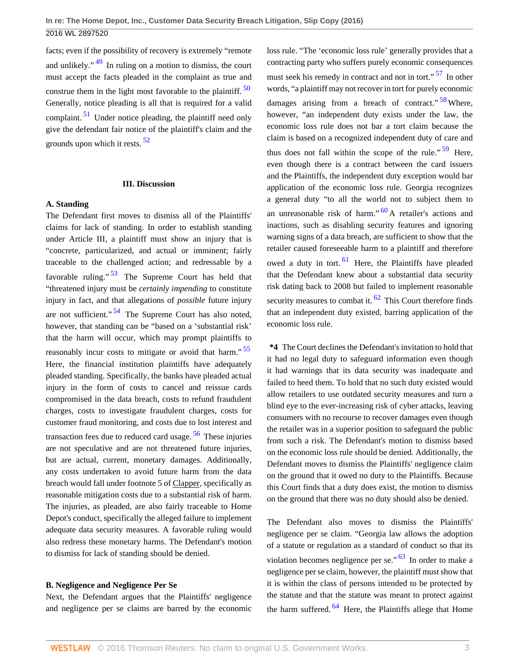<span id="page-2-2"></span><span id="page-2-0"></span>facts; even if the possibility of recovery is extremely "remote and unlikely." [49](#page-6-35) In ruling on a motion to dismiss, the court must accept the facts pleaded in the complaint as true and construe them in the light most favorable to the plaintiff.  $50$ Generally, notice pleading is all that is required for a valid complaint.  $51$  Under notice pleading, the plaintiff need only give the defendant fair notice of the plaintiff's claim and the grounds upon which it rests. [52](#page-6-38)

#### <span id="page-2-3"></span>**III. Discussion**

# **A. Standing**

<span id="page-2-5"></span><span id="page-2-4"></span>The Defendant first moves to dismiss all of the Plaintiffs' claims for lack of standing. In order to establish standing under Article III, a plaintiff must show an injury that is "concrete, particularized, and actual or imminent; fairly traceable to the challenged action; and redressable by a favorable ruling."  $53$  The Supreme Court has held that "threatened injury must be *certainly impending* to constitute injury in fact, and that allegations of *possible* future injury are not sufficient."  $54$  The Supreme Court has also noted, however, that standing can be "based on a 'substantial risk' that the harm will occur, which may prompt plaintiffs to reasonably incur costs to mitigate or avoid that harm." $55$ Here, the financial institution plaintiffs have adequately pleaded standing. Specifically, the banks have pleaded actual injury in the form of costs to cancel and reissue cards compromised in the data breach, costs to refund fraudulent charges, costs to investigate fraudulent charges, costs for customer fraud monitoring, and costs due to lost interest and transaction fees due to reduced card usage.  $56$  These injuries are not speculative and are not threatened future injuries, but are actual, current, monetary damages. Additionally, any costs undertaken to avoid future harm from the data breach would fall under footnote 5 of Clapper, specifically as reasonable mitigation costs due to a substantial risk of harm. The injuries, as pleaded, are also fairly traceable to Home Depot's conduct, specifically the alleged failure to implement adequate data security measures. A favorable ruling would also redress these monetary harms. The Defendant's motion to dismiss for lack of standing should be denied.

#### **B. Negligence and Negligence Per Se**

Next, the Defendant argues that the Plaintiffs' negligence and negligence per se claims are barred by the economic

<span id="page-2-10"></span><span id="page-2-9"></span><span id="page-2-8"></span><span id="page-2-1"></span>loss rule. "The 'economic loss rule' generally provides that a contracting party who suffers purely economic consequences must seek his remedy in contract and not in tort."<sup>[57](#page-6-43)</sup> In other words, "a plaintiff may not recover in tort for purely economic damages arising from a breach of contract."  $58$  Where, however, "an independent duty exists under the law, the economic loss rule does not bar a tort claim because the claim is based on a recognized independent duty of care and thus does not fall within the scope of the rule."  $59$  Here, even though there is a contract between the card issuers and the Plaintiffs, the independent duty exception would bar application of the economic loss rule. Georgia recognizes a general duty "to all the world not to subject them to an unreasonable risk of harm." $60$  A retailer's actions and inactions, such as disabling security features and ignoring warning signs of a data breach, are sufficient to show that the retailer caused foreseeable harm to a plaintiff and therefore owed a duty in tort.  $61$  Here, the Plaintiffs have pleaded that the Defendant knew about a substantial data security risk dating back to 2008 but failed to implement reasonable security measures to combat it.  $62$  This Court therefore finds that an independent duty existed, barring application of the economic loss rule.

<span id="page-2-13"></span><span id="page-2-12"></span><span id="page-2-11"></span><span id="page-2-7"></span><span id="page-2-6"></span>**\*4** The Court declines the Defendant's invitation to hold that it had no legal duty to safeguard information even though it had warnings that its data security was inadequate and failed to heed them. To hold that no such duty existed would allow retailers to use outdated security measures and turn a blind eye to the ever-increasing risk of cyber attacks, leaving consumers with no recourse to recover damages even though the retailer was in a superior position to safeguard the public from such a risk. The Defendant's motion to dismiss based on the economic loss rule should be denied. Additionally, the Defendant moves to dismiss the Plaintiffs' negligence claim on the ground that it owed no duty to the Plaintiffs. Because this Court finds that a duty does exist, the motion to dismiss on the ground that there was no duty should also be denied.

<span id="page-2-15"></span><span id="page-2-14"></span>The Defendant also moves to dismiss the Plaintiffs' negligence per se claim. "Georgia law allows the adoption of a statute or regulation as a standard of conduct so that its violation becomes negligence per se."  $63$  In order to make a negligence per se claim, however, the plaintiff must show that it is within the class of persons intended to be protected by the statute and that the statute was meant to protect against the harm suffered. [64](#page-7-3) Here, the Plaintiffs allege that Home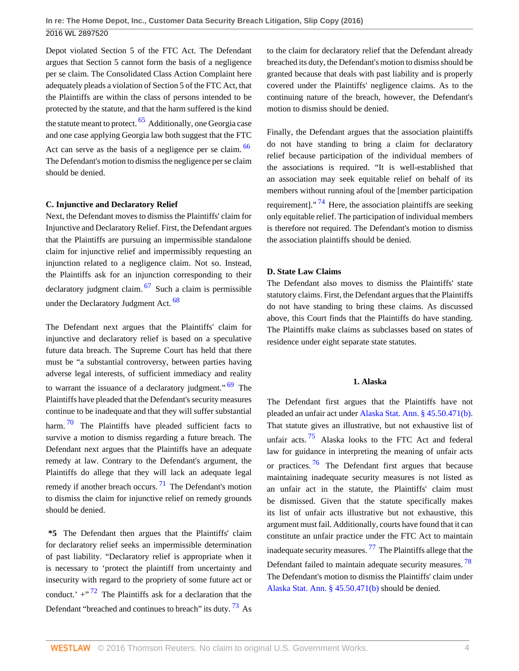<span id="page-3-0"></span>Depot violated Section 5 of the FTC Act. The Defendant argues that Section 5 cannot form the basis of a negligence per se claim. The Consolidated Class Action Complaint here adequately pleads a violation of Section 5 of the FTC Act, that the Plaintiffs are within the class of persons intended to be protected by the statute, and that the harm suffered is the kind the statute meant to protect.  $65$  Additionally, one Georgia case and one case applying Georgia law both suggest that the FTC Act can serve as the basis of a negligence per se claim. <sup>[66](#page-7-5)</sup> The Defendant's motion to dismiss the negligence per se claim should be denied.

# **C. Injunctive and Declaratory Relief**

Next, the Defendant moves to dismiss the Plaintiffs' claim for Injunctive and Declaratory Relief. First, the Defendant argues that the Plaintiffs are pursuing an impermissible standalone claim for injunctive relief and impermissibly requesting an injunction related to a negligence claim. Not so. Instead, the Plaintiffs ask for an injunction corresponding to their declaratory judgment claim. [67](#page-7-6) Such a claim is permissible under the Declaratory Judgment Act. [68](#page-7-7)

<span id="page-3-5"></span><span id="page-3-2"></span>The Defendant next argues that the Plaintiffs' claim for injunctive and declaratory relief is based on a speculative future data breach. The Supreme Court has held that there must be "a substantial controversy, between parties having adverse legal interests, of sufficient immediacy and reality to warrant the issuance of a declaratory judgment."  $69$  The Plaintiffs have pleaded that the Defendant's security measures continue to be inadequate and that they will suffer substantial harm.  $\frac{70}{10}$  $\frac{70}{10}$  $\frac{70}{10}$  The Plaintiffs have pleaded sufficient facts to survive a motion to dismiss regarding a future breach. The Defendant next argues that the Plaintiffs have an adequate remedy at law. Contrary to the Defendant's argument, the Plaintiffs do allege that they will lack an adequate legal remedy if another breach occurs.  $^{71}$  $^{71}$  $^{71}$  The Defendant's motion to dismiss the claim for injunctive relief on remedy grounds should be denied.

<span id="page-3-8"></span><span id="page-3-7"></span><span id="page-3-6"></span>**\*5** The Defendant then argues that the Plaintiffs' claim for declaratory relief seeks an impermissible determination of past liability. "Declaratory relief is appropriate when it is necessary to 'protect the plaintiff from uncertainty and insecurity with regard to the propriety of some future act or conduct.'  $+$ <sup>", [72](#page-7-11)</sup> The Plaintiffs ask for a declaration that the Defendant "breached and continues to breach" its duty.<sup>[73](#page-7-12)</sup> As to the claim for declaratory relief that the Defendant already breached its duty, the Defendant's motion to dismiss should be granted because that deals with past liability and is properly covered under the Plaintiffs' negligence claims. As to the continuing nature of the breach, however, the Defendant's motion to dismiss should be denied.

<span id="page-3-9"></span><span id="page-3-1"></span>Finally, the Defendant argues that the association plaintiffs do not have standing to bring a claim for declaratory relief because participation of the individual members of the associations is required. "It is well-established that an association may seek equitable relief on behalf of its members without running afoul of the [member participation requirement]."<sup>[74](#page-7-13)</sup> Here, the association plaintiffs are seeking only equitable relief. The participation of individual members is therefore not required. The Defendant's motion to dismiss the association plaintiffs should be denied.

# **D. State Law Claims**

<span id="page-3-3"></span>The Defendant also moves to dismiss the Plaintiffs' state statutory claims. First, the Defendant argues that the Plaintiffs do not have standing to bring these claims. As discussed above, this Court finds that the Plaintiffs do have standing. The Plaintiffs make claims as subclasses based on states of residence under eight separate state statutes.

# <span id="page-3-13"></span><span id="page-3-12"></span>**1. Alaska**

<span id="page-3-11"></span><span id="page-3-10"></span><span id="page-3-4"></span>The Defendant first argues that the Plaintiffs have not pleaded an unfair act under [Alaska Stat. Ann. § 45.50.471\(b\).](http://www.westlaw.com/Link/Document/FullText?findType=L&pubNum=1000003&cite=AKSTS45.50.471&originatingDoc=I614a90d01d9811e6accba36daa2dab8f&refType=SP&originationContext=document&vr=3.0&rs=cblt1.0&transitionType=DocumentItem&contextData=(sc.UserEnteredCitation)#co_pp_a83b000018c76) That statute gives an illustrative, but not exhaustive list of unfair acts.<sup>[75](#page-7-14)</sup> Alaska looks to the FTC Act and federal law for guidance in interpreting the meaning of unfair acts or practices.  $\frac{76}{10}$  $\frac{76}{10}$  $\frac{76}{10}$  The Defendant first argues that because maintaining inadequate security measures is not listed as an unfair act in the statute, the Plaintiffs' claim must be dismissed. Given that the statute specifically makes its list of unfair acts illustrative but not exhaustive, this argument must fail. Additionally, courts have found that it can constitute an unfair practice under the FTC Act to maintain inadequate security measures.  $^{77}$  $^{77}$  $^{77}$  The Plaintiffs allege that the Defendant failed to maintain adequate security measures. [78](#page-7-17) The Defendant's motion to dismiss the Plaintiffs' claim under [Alaska Stat. Ann. § 45.50.471\(b\)](http://www.westlaw.com/Link/Document/FullText?findType=L&pubNum=1000003&cite=AKSTS45.50.471&originatingDoc=I614a90d01d9811e6accba36daa2dab8f&refType=SP&originationContext=document&vr=3.0&rs=cblt1.0&transitionType=DocumentItem&contextData=(sc.UserEnteredCitation)#co_pp_a83b000018c76) should be denied.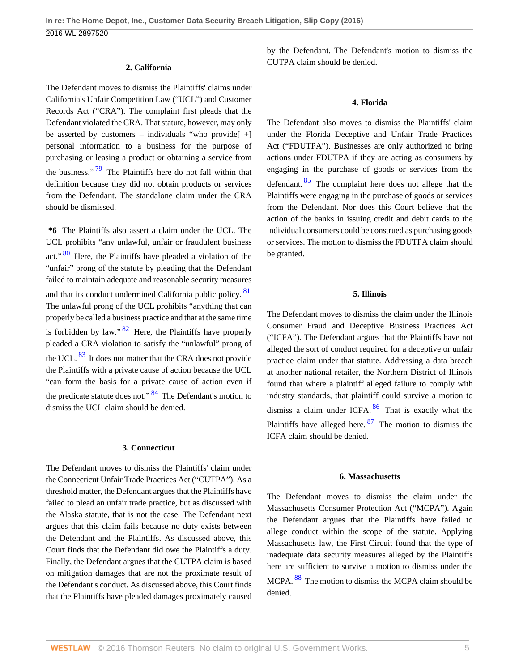### **2. California**

The Defendant moves to dismiss the Plaintiffs' claims under California's Unfair Competition Law ("UCL") and Customer Records Act ("CRA"). The complaint first pleads that the Defendant violated the CRA. That statute, however, may only be asserted by customers – individuals "who provide[ +] personal information to a business for the purpose of purchasing or leasing a product or obtaining a service from the business."  $79$  The Plaintiffs here do not fall within that definition because they did not obtain products or services from the Defendant. The standalone claim under the CRA should be dismissed.

<span id="page-4-3"></span><span id="page-4-1"></span><span id="page-4-0"></span>**\*6** The Plaintiffs also assert a claim under the UCL. The UCL prohibits "any unlawful, unfair or fraudulent business act."<sup>[80](#page-7-19)</sup> Here, the Plaintiffs have pleaded a violation of the "unfair" prong of the statute by pleading that the Defendant failed to maintain adequate and reasonable security measures and that its conduct undermined California public policy. <sup>[81](#page-7-20)</sup> The unlawful prong of the UCL prohibits "anything that can properly be called a business practice and that at the same time is forbidden by law."  $82$  Here, the Plaintiffs have properly pleaded a CRA violation to satisfy the "unlawful" prong of the UCL.  $^{83}$  $^{83}$  $^{83}$  It does not matter that the CRA does not provide the Plaintiffs with a private cause of action because the UCL "can form the basis for a private cause of action even if the predicate statute does not." <sup>[84](#page-7-23)</sup> The Defendant's motion to dismiss the UCL claim should be denied.

## <span id="page-4-5"></span><span id="page-4-4"></span>**3. Connecticut**

The Defendant moves to dismiss the Plaintiffs' claim under the Connecticut Unfair Trade Practices Act ("CUTPA"). As a threshold matter, the Defendant argues that the Plaintiffs have failed to plead an unfair trade practice, but as discussed with the Alaska statute, that is not the case. The Defendant next argues that this claim fails because no duty exists between the Defendant and the Plaintiffs. As discussed above, this Court finds that the Defendant did owe the Plaintiffs a duty. Finally, the Defendant argues that the CUTPA claim is based on mitigation damages that are not the proximate result of the Defendant's conduct. As discussed above, this Court finds that the Plaintiffs have pleaded damages proximately caused

by the Defendant. The Defendant's motion to dismiss the CUTPA claim should be denied.

#### **4. Florida**

<span id="page-4-6"></span>The Defendant also moves to dismiss the Plaintiffs' claim under the Florida Deceptive and Unfair Trade Practices Act ("FDUTPA"). Businesses are only authorized to bring actions under FDUTPA if they are acting as consumers by engaging in the purchase of goods or services from the defendant.  $85$  The complaint here does not allege that the Plaintiffs were engaging in the purchase of goods or services from the Defendant. Nor does this Court believe that the action of the banks in issuing credit and debit cards to the individual consumers could be construed as purchasing goods or services. The motion to dismiss the FDUTPA claim should be granted.

### **5. Illinois**

<span id="page-4-2"></span>The Defendant moves to dismiss the claim under the Illinois Consumer Fraud and Deceptive Business Practices Act ("ICFA"). The Defendant argues that the Plaintiffs have not alleged the sort of conduct required for a deceptive or unfair practice claim under that statute. Addressing a data breach at another national retailer, the Northern District of Illinois found that where a plaintiff alleged failure to comply with industry standards, that plaintiff could survive a motion to dismiss a claim under ICFA.  $86$  That is exactly what the Plaintiffs have alleged here.  $87$  The motion to dismiss the ICFA claim should be denied.

#### <span id="page-4-8"></span><span id="page-4-7"></span>**6. Massachusetts**

<span id="page-4-9"></span>The Defendant moves to dismiss the claim under the Massachusetts Consumer Protection Act ("MCPA"). Again the Defendant argues that the Plaintiffs have failed to allege conduct within the scope of the statute. Applying Massachusetts law, the First Circuit found that the type of inadequate data security measures alleged by the Plaintiffs here are sufficient to survive a motion to dismiss under the MCPA. <sup>[88](#page-7-27)</sup> The motion to dismiss the MCPA claim should be denied.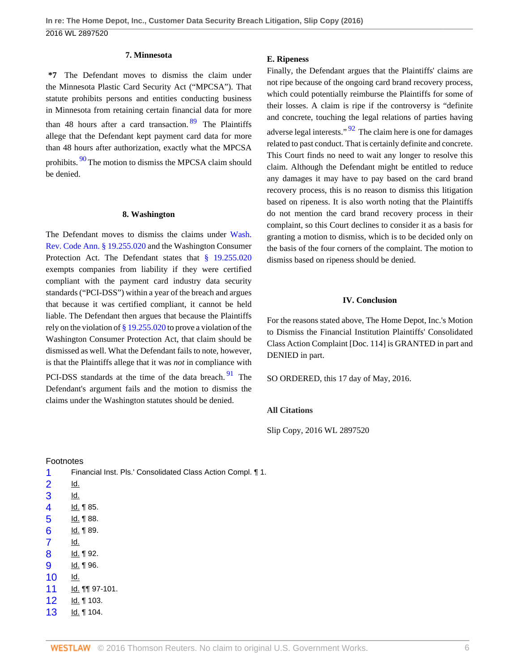## <span id="page-5-13"></span>**7. Minnesota**

**\*7** The Defendant moves to dismiss the claim under the Minnesota Plastic Card Security Act ("MPCSA"). That statute prohibits persons and entities conducting business in Minnesota from retaining certain financial data for more than 48 hours after a card transaction.  $89$  The Plaintiffs allege that the Defendant kept payment card data for more than 48 hours after authorization, exactly what the MPCSA prohibits. <sup>[90](#page-7-29)</sup> The motion to dismiss the MPCSA claim should be denied.

#### <span id="page-5-14"></span>**8. Washington**

The Defendant moves to dismiss the claims under [Wash.](http://www.westlaw.com/Link/Document/FullText?findType=L&pubNum=1000259&cite=WAST19.255.020&originatingDoc=I614a90d01d9811e6accba36daa2dab8f&refType=LQ&originationContext=document&vr=3.0&rs=cblt1.0&transitionType=DocumentItem&contextData=(sc.UserEnteredCitation)) [Rev. Code Ann. § 19.255.020](http://www.westlaw.com/Link/Document/FullText?findType=L&pubNum=1000259&cite=WAST19.255.020&originatingDoc=I614a90d01d9811e6accba36daa2dab8f&refType=LQ&originationContext=document&vr=3.0&rs=cblt1.0&transitionType=DocumentItem&contextData=(sc.UserEnteredCitation)) and the Washington Consumer Protection Act. The Defendant states that [§ 19.255.020](http://www.westlaw.com/Link/Document/FullText?findType=L&pubNum=1000259&cite=WAST19.255.020&originatingDoc=I614a90d01d9811e6accba36daa2dab8f&refType=LQ&originationContext=document&vr=3.0&rs=cblt1.0&transitionType=DocumentItem&contextData=(sc.UserEnteredCitation)) exempts companies from liability if they were certified compliant with the payment card industry data security standards ("PCI-DSS") within a year of the breach and argues that because it was certified compliant, it cannot be held liable. The Defendant then argues that because the Plaintiffs rely on the violation of [§ 19.255.020](http://www.westlaw.com/Link/Document/FullText?findType=L&pubNum=1000259&cite=WAST19.255.020&originatingDoc=I614a90d01d9811e6accba36daa2dab8f&refType=LQ&originationContext=document&vr=3.0&rs=cblt1.0&transitionType=DocumentItem&contextData=(sc.UserEnteredCitation)) to prove a violation of the Washington Consumer Protection Act, that claim should be dismissed as well. What the Defendant fails to note, however, is that the Plaintiffs allege that it was *not* in compliance with

PCI-DSS standards at the time of the data breach.<sup>[91](#page-7-30)</sup> The Defendant's argument fails and the motion to dismiss the claims under the Washington statutes should be denied.

#### Footnotes

<span id="page-5-12"></span><span id="page-5-11"></span><span id="page-5-10"></span><span id="page-5-9"></span><span id="page-5-8"></span><span id="page-5-7"></span><span id="page-5-6"></span><span id="page-5-5"></span><span id="page-5-4"></span><span id="page-5-3"></span><span id="page-5-2"></span><span id="page-5-1"></span><span id="page-5-0"></span>

| 1                        | Financial Inst. Pls.' Consolidated Class Action Compl. 1. |
|--------------------------|-----------------------------------------------------------|
| $\overline{2}$           | <u>ld.</u>                                                |
| 3                        | <u>ld.</u>                                                |
| $\overline{\mathcal{A}}$ | ld. 185.                                                  |
| 5                        | ld. 188.                                                  |
| 6                        | <u>ld.</u> ¶ 89.                                          |
| $\overline{7}$           | Id.                                                       |
| 8                        | <u>ld.</u> ¶ 92.                                          |
| 9                        | ld. 196.                                                  |
| 10                       | Id.                                                       |
| 11                       | ld. 11 97-101.                                            |
| 12                       | <u>ld.</u> ¶ 103.                                         |
| 13                       | ld. 104.                                                  |
|                          |                                                           |

### **E. Ripeness**

<span id="page-5-16"></span>Finally, the Defendant argues that the Plaintiffs' claims are not ripe because of the ongoing card brand recovery process, which could potentially reimburse the Plaintiffs for some of their losses. A claim is ripe if the controversy is "definite and concrete, touching the legal relations of parties having adverse legal interests."  $\frac{92}{9}$  $\frac{92}{9}$  $\frac{92}{9}$  The claim here is one for damages related to past conduct. That is certainly definite and concrete. This Court finds no need to wait any longer to resolve this claim. Although the Defendant might be entitled to reduce any damages it may have to pay based on the card brand recovery process, this is no reason to dismiss this litigation based on ripeness. It is also worth noting that the Plaintiffs do not mention the card brand recovery process in their complaint, so this Court declines to consider it as a basis for granting a motion to dismiss, which is to be decided only on the basis of the four corners of the complaint. The motion to dismiss based on ripeness should be denied.

### **IV. Conclusion**

For the reasons stated above, The Home Depot, Inc.'s Motion to Dismiss the Financial Institution Plaintiffs' Consolidated Class Action Complaint [Doc. 114] is GRANTED in part and DENIED in part.

<span id="page-5-15"></span>SO ORDERED, this 17 day of May, 2016.

# **All Citations**

Slip Copy, 2016 WL 2897520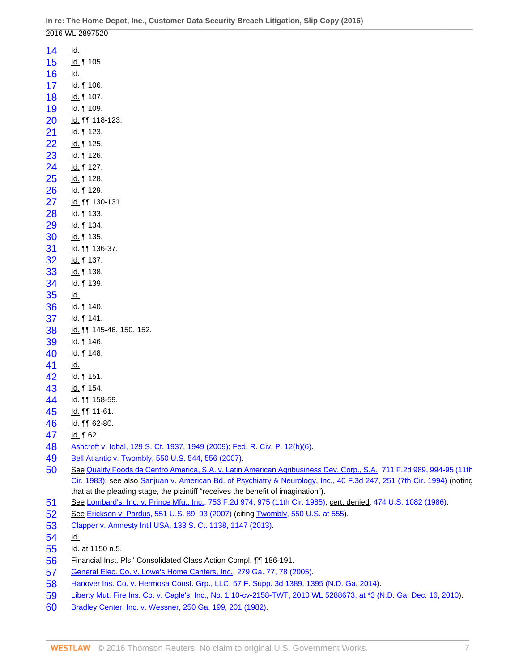<span id="page-6-17"></span><span id="page-6-16"></span><span id="page-6-15"></span><span id="page-6-14"></span><span id="page-6-13"></span><span id="page-6-12"></span><span id="page-6-11"></span><span id="page-6-10"></span><span id="page-6-9"></span><span id="page-6-8"></span><span id="page-6-7"></span><span id="page-6-6"></span><span id="page-6-5"></span><span id="page-6-4"></span><span id="page-6-3"></span><span id="page-6-2"></span><span id="page-6-1"></span><span id="page-6-0"></span>

|    | 2016 WL 2897520                                                            |
|----|----------------------------------------------------------------------------|
| 14 | <u>ld.</u>                                                                 |
| 15 | ld. 105.                                                                   |
| 16 | <u>ld.</u>                                                                 |
| 17 | ld. 106.                                                                   |
| 18 | ld. 107.                                                                   |
| 19 | ld. 109.                                                                   |
| 20 | ld. 118-123.                                                               |
| 21 | ld. 123.                                                                   |
| 22 | ld. 125.                                                                   |
| 23 | ld. 126.                                                                   |
| 24 | ld. 127.                                                                   |
| 25 | ld. 128.                                                                   |
| 26 | ld. 1129.                                                                  |
| 27 | ld. 11 130-131.                                                            |
| 28 | ld. 133.                                                                   |
| 29 | ld. 134.                                                                   |
| 30 | ld. 135.                                                                   |
| 31 | ld. 11 136-37.                                                             |
| 32 | ld. 137.                                                                   |
| 33 | ld. 138.                                                                   |
| 34 | ld. 139.                                                                   |
| 35 | <u>ld.</u>                                                                 |
| 36 | ld. 140.                                                                   |
| 37 | ld. 141.                                                                   |
| 38 | ld. 11 145-46, 150, 152.                                                   |
| 39 | ld. 146.                                                                   |
| 40 | ld. 148.                                                                   |
| 41 | Id.                                                                        |
| 42 | ld. 151.                                                                   |
| 43 | ld. 154.                                                                   |
| 44 | ld. 11 158-59.                                                             |
| 45 | ld. 11-61.                                                                 |
| 46 | ld. 11 62-80.                                                              |
| 47 | ld. 162.                                                                   |
| 48 | Ashcroft v. Iqbal, 129 S. Ct. 1937, 1949 (2009); Fed. R. Civ. P. 12(b)(6). |
| 49 | Bell Atlantic v. Twombly, 550 U.S. 544, 556 (2007).                        |

- <span id="page-6-36"></span><span id="page-6-35"></span><span id="page-6-34"></span><span id="page-6-33"></span><span id="page-6-32"></span><span id="page-6-31"></span><span id="page-6-30"></span><span id="page-6-29"></span><span id="page-6-28"></span><span id="page-6-27"></span><span id="page-6-26"></span><span id="page-6-25"></span><span id="page-6-24"></span><span id="page-6-23"></span><span id="page-6-22"></span><span id="page-6-21"></span><span id="page-6-20"></span><span id="page-6-19"></span><span id="page-6-18"></span> See [Quality Foods de Centro America, S.A. v. Latin American Agribusiness Dev. Corp., S.A., 711 F.2d 989, 994-95 \(11th](http://www.westlaw.com/Link/Document/FullText?findType=Y&serNum=1983134720&pubNum=0000350&originatingDoc=I614a90d01d9811e6accba36daa2dab8f&refType=RP&fi=co_pp_sp_350_994&originationContext=document&vr=3.0&rs=cblt1.0&transitionType=DocumentItem&contextData=(sc.UserEnteredCitation)#co_pp_sp_350_994) [Cir. 1983\);](http://www.westlaw.com/Link/Document/FullText?findType=Y&serNum=1983134720&pubNum=0000350&originatingDoc=I614a90d01d9811e6accba36daa2dab8f&refType=RP&fi=co_pp_sp_350_994&originationContext=document&vr=3.0&rs=cblt1.0&transitionType=DocumentItem&contextData=(sc.UserEnteredCitation)#co_pp_sp_350_994) see also [Sanjuan v. American Bd. of Psychiatry & Neurology, Inc., 40 F.3d 247, 251 \(7th Cir. 1994\)](http://www.westlaw.com/Link/Document/FullText?findType=Y&serNum=1994231990&pubNum=0000506&originatingDoc=I614a90d01d9811e6accba36daa2dab8f&refType=RP&fi=co_pp_sp_506_251&originationContext=document&vr=3.0&rs=cblt1.0&transitionType=DocumentItem&contextData=(sc.UserEnteredCitation)#co_pp_sp_506_251) (noting that at the pleading stage, the plaintiff "receives the benefit of imagination").
- <span id="page-6-37"></span>See [Lombard's, Inc. v. Prince Mfg., Inc., 753 F.2d 974, 975 \(11th Cir. 1985\),](http://www.westlaw.com/Link/Document/FullText?findType=Y&serNum=1985106405&pubNum=0000350&originatingDoc=I614a90d01d9811e6accba36daa2dab8f&refType=RP&fi=co_pp_sp_350_975&originationContext=document&vr=3.0&rs=cblt1.0&transitionType=DocumentItem&contextData=(sc.UserEnteredCitation)#co_pp_sp_350_975) cert. denied, [474 U.S. 1082 \(1986\).](http://www.westlaw.com/Link/Document/FullText?findType=Y&serNum=1986205379&pubNum=0000780&originatingDoc=I614a90d01d9811e6accba36daa2dab8f&refType=RP&originationContext=document&vr=3.0&rs=cblt1.0&transitionType=DocumentItem&contextData=(sc.UserEnteredCitation))
- <span id="page-6-38"></span>See [Erickson v. Pardus, 551 U.S. 89, 93 \(2007\)](http://www.westlaw.com/Link/Document/FullText?findType=Y&serNum=2012395796&pubNum=0000780&originatingDoc=I614a90d01d9811e6accba36daa2dab8f&refType=RP&fi=co_pp_sp_780_93&originationContext=document&vr=3.0&rs=cblt1.0&transitionType=DocumentItem&contextData=(sc.UserEnteredCitation)#co_pp_sp_780_93) (citing [Twombly, 550 U.S. at 555](http://www.westlaw.com/Link/Document/FullText?findType=Y&serNum=2012293296&pubNum=0000780&originatingDoc=I614a90d01d9811e6accba36daa2dab8f&refType=RP&fi=co_pp_sp_780_555&originationContext=document&vr=3.0&rs=cblt1.0&transitionType=DocumentItem&contextData=(sc.UserEnteredCitation)#co_pp_sp_780_555)).
- <span id="page-6-39"></span>[Clapper v. Amnesty Int'l USA, 133 S. Ct. 1138, 1147 \(2013\).](http://www.westlaw.com/Link/Document/FullText?findType=Y&serNum=2029935439&pubNum=0000708&originatingDoc=I614a90d01d9811e6accba36daa2dab8f&refType=RP&fi=co_pp_sp_708_1147&originationContext=document&vr=3.0&rs=cblt1.0&transitionType=DocumentItem&contextData=(sc.UserEnteredCitation)#co_pp_sp_708_1147)
- <span id="page-6-40"></span>Id.
- <span id="page-6-41"></span>Id. at 1150 n.5.
- <span id="page-6-42"></span>Financial Inst. Pls.' Consolidated Class Action Compl. ¶¶ 186-191.
- <span id="page-6-43"></span>[General Elec. Co. v. Lowe's Home Centers, Inc., 279 Ga. 77, 78 \(2005\).](http://www.westlaw.com/Link/Document/FullText?findType=Y&serNum=2006186952&pubNum=0000359&originatingDoc=I614a90d01d9811e6accba36daa2dab8f&refType=RP&fi=co_pp_sp_359_78&originationContext=document&vr=3.0&rs=cblt1.0&transitionType=DocumentItem&contextData=(sc.UserEnteredCitation)#co_pp_sp_359_78)
- <span id="page-6-44"></span>[Hanover Ins. Co. v. Hermosa Const. Grp., LLC, 57 F. Supp. 3d 1389, 1395 \(N.D. Ga. 2014\).](http://www.westlaw.com/Link/Document/FullText?findType=Y&serNum=2034702789&pubNum=0007903&originatingDoc=I614a90d01d9811e6accba36daa2dab8f&refType=RP&fi=co_pp_sp_7903_1395&originationContext=document&vr=3.0&rs=cblt1.0&transitionType=DocumentItem&contextData=(sc.UserEnteredCitation)#co_pp_sp_7903_1395)
- <span id="page-6-45"></span>[Liberty Mut. Fire Ins. Co. v. Cagle's, Inc., No. 1:10-cv-2158-TWT, 2010 WL 5288673, at \\*3 \(N.D. Ga. Dec. 16, 2010](http://www.westlaw.com/Link/Document/FullText?findType=Y&serNum=2024222563&pubNum=0000999&originatingDoc=I614a90d01d9811e6accba36daa2dab8f&refType=RP&originationContext=document&vr=3.0&rs=cblt1.0&transitionType=DocumentItem&contextData=(sc.UserEnteredCitation))).
- <span id="page-6-46"></span>[Bradley Center, Inc. v. Wessner, 250 Ga. 199, 201 \(1982\)](http://www.westlaw.com/Link/Document/FullText?findType=Y&serNum=1982148037&pubNum=0000359&originatingDoc=I614a90d01d9811e6accba36daa2dab8f&refType=RP&fi=co_pp_sp_359_201&originationContext=document&vr=3.0&rs=cblt1.0&transitionType=DocumentItem&contextData=(sc.UserEnteredCitation)#co_pp_sp_359_201).